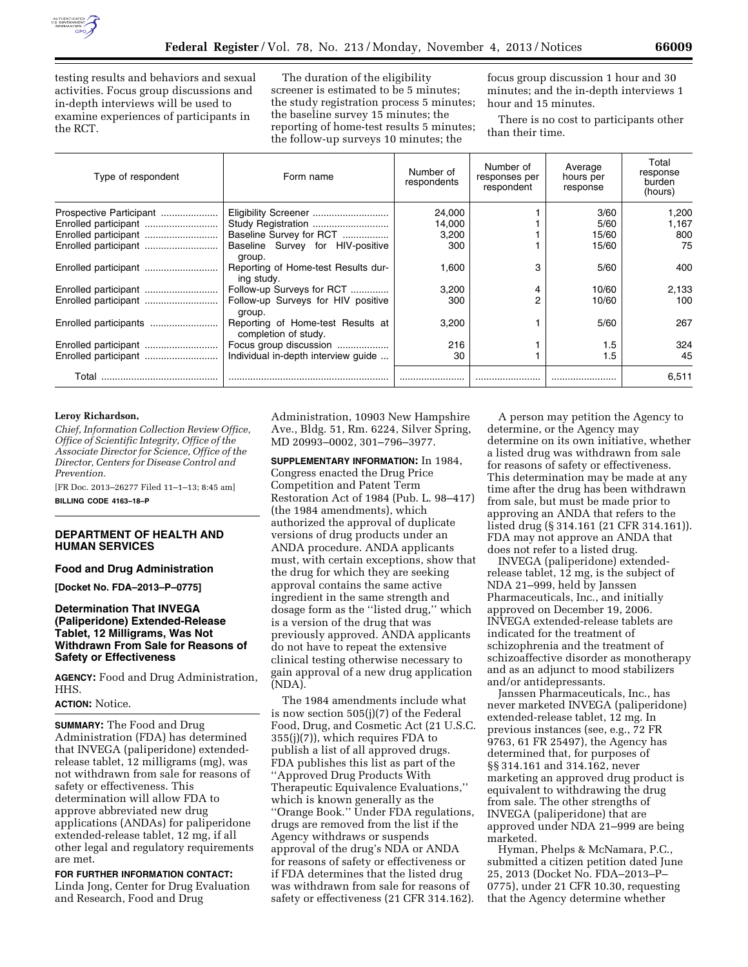

testing results and behaviors and sexual activities. Focus group discussions and in-depth interviews will be used to examine experiences of participants in the RCT.

The duration of the eligibility screener is estimated to be 5 minutes; the study registration process 5 minutes; the baseline survey 15 minutes; the reporting of home-test results 5 minutes; the follow-up surveys 10 minutes; the

focus group discussion 1 hour and 30 minutes; and the in-depth interviews 1 hour and 15 minutes.

There is no cost to participants other than their time.

| Type of respondent      | Form name                                                 | Number of<br>respondents | Number of<br>responses per<br>respondent | Average<br>hours per<br>response | Total<br>response<br>burden<br>(hours) |
|-------------------------|-----------------------------------------------------------|--------------------------|------------------------------------------|----------------------------------|----------------------------------------|
| Prospective Participant | Eligibility Screener                                      | 24.000                   |                                          | 3/60                             | 1.200                                  |
| Enrolled participant    |                                                           | 14,000                   |                                          | 5/60                             | 1.167                                  |
|                         | Baseline Survey for RCT                                   | 3,200                    |                                          | 15/60                            | 800                                    |
| Enrolled participant    | Baseline Survey for HIV-positive<br>group.                | 300                      |                                          | 15/60                            | 75                                     |
|                         | Reporting of Home-test Results dur-<br>ing study.         | 1,600                    | 3                                        | 5/60                             | 400                                    |
|                         | Follow-up Surveys for RCT                                 | 3,200                    | 4                                        | 10/60                            | 2,133                                  |
| Enrolled participant    | Follow-up Surveys for HIV positive<br>group.              | 300                      | $\overline{2}$                           | 10/60                            | 100                                    |
|                         | Reporting of Home-test Results at<br>completion of study. | 3,200                    |                                          | 5/60                             | 267                                    |
|                         | Focus group discussion                                    | 216                      |                                          | 1.5                              | 324                                    |
| Enrolled participant    | Individual in-depth interview guide                       | 30                       |                                          | 1.5                              | 45                                     |
| Total                   |                                                           |                          |                                          |                                  | 6,511                                  |

#### **Leroy Richardson,**

*Chief, Information Collection Review Office, Office of Scientific Integrity, Office of the Associate Director for Science, Office of the Director, Centers for Disease Control and Prevention.* 

[FR Doc. 2013–26277 Filed 11–1–13; 8:45 am] **BILLING CODE 4163–18–P** 

#### **DEPARTMENT OF HEALTH AND HUMAN SERVICES**

# **Food and Drug Administration**

**[Docket No. FDA–2013–P–0775]** 

## **Determination That INVEGA (Paliperidone) Extended-Release Tablet, 12 Milligrams, Was Not Withdrawn From Sale for Reasons of Safety or Effectiveness**

**AGENCY:** Food and Drug Administration, HHS.

# **ACTION:** Notice.

**SUMMARY:** The Food and Drug Administration (FDA) has determined that INVEGA (paliperidone) extendedrelease tablet, 12 milligrams (mg), was not withdrawn from sale for reasons of safety or effectiveness. This determination will allow FDA to approve abbreviated new drug applications (ANDAs) for paliperidone extended-release tablet, 12 mg, if all other legal and regulatory requirements are met.

**FOR FURTHER INFORMATION CONTACT:**  Linda Jong, Center for Drug Evaluation and Research, Food and Drug

Administration, 10903 New Hampshire Ave., Bldg. 51, Rm. 6224, Silver Spring, MD 20993–0002, 301–796–3977.

**SUPPLEMENTARY INFORMATION:** In 1984, Congress enacted the Drug Price Competition and Patent Term Restoration Act of 1984 (Pub. L. 98–417) (the 1984 amendments), which authorized the approval of duplicate versions of drug products under an ANDA procedure. ANDA applicants must, with certain exceptions, show that the drug for which they are seeking approval contains the same active ingredient in the same strength and dosage form as the ''listed drug,'' which is a version of the drug that was previously approved. ANDA applicants do not have to repeat the extensive clinical testing otherwise necessary to gain approval of a new drug application (NDA).

The 1984 amendments include what is now section 505(j)(7) of the Federal Food, Drug, and Cosmetic Act (21 U.S.C. 355(j)(7)), which requires FDA to publish a list of all approved drugs. FDA publishes this list as part of the ''Approved Drug Products With Therapeutic Equivalence Evaluations,'' which is known generally as the ''Orange Book.'' Under FDA regulations, drugs are removed from the list if the Agency withdraws or suspends approval of the drug's NDA or ANDA for reasons of safety or effectiveness or if FDA determines that the listed drug was withdrawn from sale for reasons of safety or effectiveness (21 CFR 314.162).

A person may petition the Agency to determine, or the Agency may determine on its own initiative, whether a listed drug was withdrawn from sale for reasons of safety or effectiveness. This determination may be made at any time after the drug has been withdrawn from sale, but must be made prior to approving an ANDA that refers to the listed drug (§ 314.161 (21 CFR 314.161)). FDA may not approve an ANDA that does not refer to a listed drug.

INVEGA (paliperidone) extendedrelease tablet, 12 mg, is the subject of NDA 21–999, held by Janssen Pharmaceuticals, Inc., and initially approved on December 19, 2006. INVEGA extended-release tablets are indicated for the treatment of schizophrenia and the treatment of schizoaffective disorder as monotherapy and as an adjunct to mood stabilizers and/or antidepressants.

Janssen Pharmaceuticals, Inc., has never marketed INVEGA (paliperidone) extended-release tablet, 12 mg. In previous instances (see, e.g., 72 FR 9763, 61 FR 25497), the Agency has determined that, for purposes of §§ 314.161 and 314.162, never marketing an approved drug product is equivalent to withdrawing the drug from sale. The other strengths of INVEGA (paliperidone) that are approved under NDA 21–999 are being marketed.

Hyman, Phelps & McNamara, P.C., submitted a citizen petition dated June 25, 2013 (Docket No. FDA–2013–P– 0775), under 21 CFR 10.30, requesting that the Agency determine whether